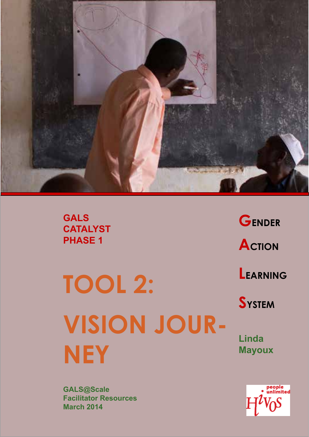

**GALS CATALYST PHASE 1** 

**GENDER ACTION LEARNING** 

**TOOL 2: VISION JOUR-NEY**

**Linda Mayoux**

**SYSTEM**

people<br>unlimited

**GALS@Scale Facilitator Resources March 2014**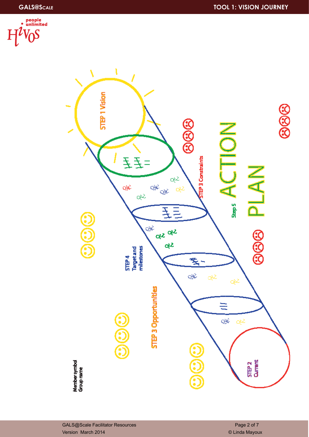

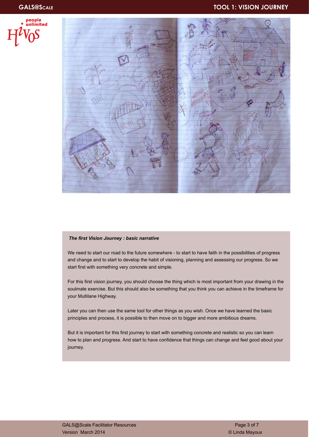



#### *The first Vision Journey : basic narrative*

We need to start our road to the future somewhere - to start to have faith in the possibilities of progress and change and to start to develop the habit of visioning, planning and assessing our progress. So we start first with something very concrete and simple.

For this first vision journey, you should choose the thing which is most important from your drawing in the soulmate exercise. But this should also be something that you think you can achieve in the timeframe for your Multilane Highway.

Later you can then use the same tool for other things as you wish. Once we have learned the basic principles and process, it is possible to then move on to bigger and more ambitious dreams.

But it is important for this first journey to start with something concrete and realistic so you can learn how to plan and progress. And start to have confidence that things can change and feel good about your journey.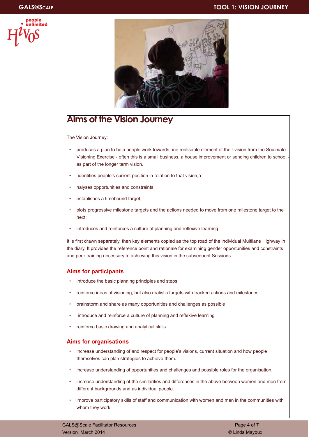



## **Aims of the Vision Journey**

The Vision Journey:

- produces a plan to help people work towards one realisable element of their vision from the Soulmate Visioning Exercise - often this is a small business, a house improvement or sending children to school as part of the longer term vision.
- identifies people's current position in relation to that vision;a
- nalyses opportunities and constraints
- establishes a timebound target;
- plots progressive milestone targets and the actions needed to move from one milestone target to the next;
- introduces and reinforces a culture of planning and reflexive learning

It is first drawn separately, then key elements copied as the top road of the individual Multilane Highway in the diary. It provides the reference point and rationale for examining gender opportunities and constraints and peer training necessary to achieving this vision in the subsequent Sessions.

#### **Aims for participants**

- introduce the basic planning principles and steps
- reinforce ideas of visioning, but also realistic targets with tracked actions and milestones
- brainstorm and share as many opportunities and challenges as possible
- introduce and reinforce a culture of planning and reflexive learning
- reinforce basic drawing and analytical skills.

#### **Aims for organisations**

- increase understanding of and respect for people's visions, current situation and how people themselves can plan strategies to achieve them.
- increase understanding of opportunities and challenges and possible roles for the organisation.
- increase understanding of the similarities and differences in the above between women and men from different backgrounds and as individual people.
- improve participatory skills of staff and communication with women and men in the communities with whom they work.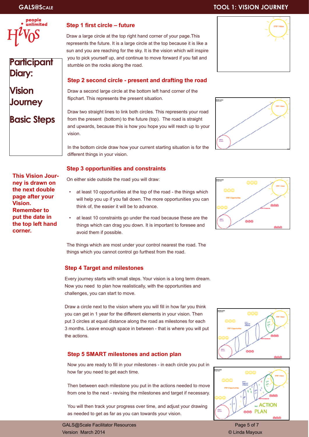

## **Participant Diary:**

## **Vision Journey**

## **Basic Steps**

#### **Step 1 first circle – future**

Draw a large circle at the top right hand corner of your page.This represents the future. It is a large circle at the top because it is like a sun and you are reaching for the sky. It is the vision which will inspire you to pick yourself up, and continue to move forward if you fall and stumble on the rocks along the road.

#### **Step 2 second circle - present and drafting the road**

Draw a second large circle at the bottom left hand corner of the flipchart. This represents the present situation.

Draw two straight lines to link both circles. This represents your road from the present (bottom) to the future (top). The road is straight and upwards, because this is how you hope you will reach up to your vision.

In the bottom circle draw how your current starting situation is for the different things in your vision.

#### **Step 3 opportunities and constraints**

On either side outside the road you will draw:

- at least 10 opportunities at the top of the road the things which will help you up if you fall down. The more opportunities you can think of, the easier it will be to advance.
- at least 10 constraints go under the road because these are the things which can drag you down. It is important to foresee and avoid them if possible.

The things which are most under your control nearest the road. The things which you cannot control go furthest from the road.

#### **Step 4 Target and milestones**

Every journey starts with small steps. Your vision is a long term dream. Now you need to plan how realistically, with the opportunities and challenges, you can start to move.

Draw a circle next to the vision where you will fill in how far you think you can get in 1 year for the different elements in your vision. Then put 3 circles at equal distance along the road as milestones for each 3 months. Leave enough space in between - that is where you will put the actions.

#### **Step 5 SMART milestones and action plan**

Now you are ready to fill in your milestones - in each circle you put in how far you need to get each time.

Then between each milestone you put in the actions needed to move from one to the next - revising the milestones and target if necessary.

You will then track your progress over time, and adjust your drawing as needed to get as far as you can towards your vision.

GALS@Scale Facilitator Resources **Page 5 of 7** and 7 and 7 and 7 and 7 and 7 and 7 and 7 and 7 and 7 and 7 and 7 and 7 and 7 and 7 and 7 and 7 and 7 and 7 and 7 and 7 and 7 and 7 and 7 and 7 and 7 and 7 and 7 and 7 and 7 a Version March 2014 © Linda Mayoux

## **GALS@Scale TOOL 1: VISION JOURNEY**











**This Vision Journey is drawn on the next double page after your Vision. Remember to put the date in the top left hand corner.**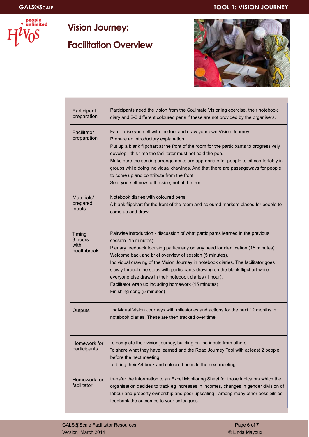### **GALS@Scale TOOL 1: VISION JOURNEY**



# **Vision Journey: Facilitation Overview**



| Participant<br>preparation               | Participants need the vision from the Soulmate Visioning exercise, their notebook<br>diary and 2-3 different coloured pens if these are not provided by the organisers.                                                                                                                                                                                                                                                                                                                                                                                                           |
|------------------------------------------|-----------------------------------------------------------------------------------------------------------------------------------------------------------------------------------------------------------------------------------------------------------------------------------------------------------------------------------------------------------------------------------------------------------------------------------------------------------------------------------------------------------------------------------------------------------------------------------|
| Facilitator<br>preparation               | Familiarise yourself with the tool and draw your own Vision Journey<br>Prepare an introductory explanation<br>Put up a blank flipchart at the front of the room for the participants to progressively<br>develop - this time the facilitator must not hold the pen.<br>Make sure the seating arrangements are appropriate for people to sit comfortably in<br>groups while doing individual drawings. And that there are passageways for people<br>to come up and contribute from the front.<br>Seat yourself now to the side, not at the front.                                  |
| Materials/<br>prepared<br>inputs         | Notebook diaries with coloured pens.<br>A blank flipchart for the front of the room and coloured markers placed for people to<br>come up and draw.                                                                                                                                                                                                                                                                                                                                                                                                                                |
| Timing<br>3 hours<br>with<br>healthbreak | Pairwise introduction - discussion of what participants learned in the previous<br>session (15 minutes).<br>Plenary feedback focusing particularly on any need for clarification (15 minutes)<br>Welcome back and brief overview of session (5 minutes).<br>Individual drawing of the Vision Journey in notebook diaries. The facilitator goes<br>slowly through the steps with participants drawing on the blank flipchart while<br>everyone else draws in their notebook diaries (1 hour).<br>Facilitator wrap up including homework (15 minutes)<br>Finishing song (5 minutes) |
| Outputs                                  | Individual Vision Journeys with milestones and actions for the next 12 months in<br>notebook diaries. These are then tracked over time.                                                                                                                                                                                                                                                                                                                                                                                                                                           |
| Homework for<br>participants             | To complete their vision journey, building on the inputs from others<br>To share what they have learned and the Road Journey Tool with at least 2 people<br>before the next meeting<br>To bring their A4 book and coloured pens to the next meeting                                                                                                                                                                                                                                                                                                                               |
| Homework for<br>facilitator              | transfer the information to an Excel Monitoring Sheet for those indicators which the<br>organisation decides to track eg increases in incomes, changes in gender division of<br>labour and property ownership and peer upscaling - among many other possibilities.<br>feedback the outcomes to your colleagues.                                                                                                                                                                                                                                                                   |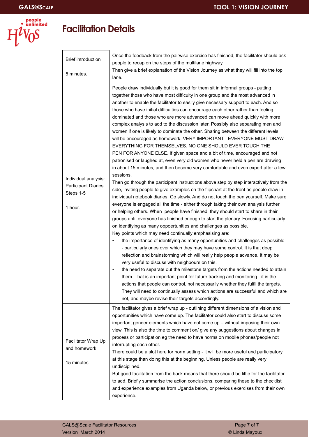

## **Facilitation Details**

| <b>Brief introduction</b>                                                  | Once the feedback from the pairwise exercise has finished, the facilitator should ask<br>people to recap on the steps of the multilane highway.                                                                                                                                                                                                                                                                                                                                                                                                                                                                                                                                                                                                                                                                                                                                                                                                                                                                                                                                                                                                                                                                                                                                                                                                                                                                                                                                                                                                                                                                                                                                                                                                                                                                                                                                                                                                                                                                                                                                                                                                                                                                                                                                                                                                                                                              |
|----------------------------------------------------------------------------|--------------------------------------------------------------------------------------------------------------------------------------------------------------------------------------------------------------------------------------------------------------------------------------------------------------------------------------------------------------------------------------------------------------------------------------------------------------------------------------------------------------------------------------------------------------------------------------------------------------------------------------------------------------------------------------------------------------------------------------------------------------------------------------------------------------------------------------------------------------------------------------------------------------------------------------------------------------------------------------------------------------------------------------------------------------------------------------------------------------------------------------------------------------------------------------------------------------------------------------------------------------------------------------------------------------------------------------------------------------------------------------------------------------------------------------------------------------------------------------------------------------------------------------------------------------------------------------------------------------------------------------------------------------------------------------------------------------------------------------------------------------------------------------------------------------------------------------------------------------------------------------------------------------------------------------------------------------------------------------------------------------------------------------------------------------------------------------------------------------------------------------------------------------------------------------------------------------------------------------------------------------------------------------------------------------------------------------------------------------------------------------------------------------|
| 5 minutes.                                                                 | Then give a brief explanation of the Vision Journey as what they will fill into the top<br>lane.                                                                                                                                                                                                                                                                                                                                                                                                                                                                                                                                                                                                                                                                                                                                                                                                                                                                                                                                                                                                                                                                                                                                                                                                                                                                                                                                                                                                                                                                                                                                                                                                                                                                                                                                                                                                                                                                                                                                                                                                                                                                                                                                                                                                                                                                                                             |
| Individual analysis:<br><b>Participant Diaries</b><br>Steps 1-5<br>1 hour. | People draw individually but it is good for them sit in informal groups - putting<br>together those who have most difficulty in one group and the most advanced in<br>another to enable the facilitator to easily give necessary support to each. And so<br>those who have initial difficulties can encourage each other rather than feeling<br>dominated and those who are more advanced can move ahead quickly with more<br>complex analysis to add to the discussion later. Possibly also separating men and<br>women if one is likely to dominate the other. Sharing between the different levels<br>will be encouraged as homework. VERY IMPORTANT - EVERYONE MUST DRAW<br>EVERYTHING FOR THEMSELVES. NO ONE SHOULD EVER TOUCH THE<br>PEN FOR ANYONE ELSE. If given space and a bit of time, encouraged and not<br>patronised or laughed at, even very old women who never held a pen are drawing<br>in about 15 minutes, and then become very comfortable and even expert after a few<br>sessions.<br>Then go through the participant instructions above step by step interactively from the<br>side, inviting people to give examples on the flipchart at the front as people draw in<br>individual notebook diaries. Go slowly. And do not touch the pen yourself. Make sure<br>everyone is engaged all the time - either through taking their own analysis further<br>or helping others. When people have finished, they should start to share in their<br>groups until everyone has finished enough to start the plenary. Focusing particularly<br>on identifying as many oppoertunities and challenges as possible.<br>Key points which may need continually emphasising are:<br>the importance of identifying as many opportunities and challenges as possible<br>- particularly ones over which they may have some control. It is that deep<br>reflection and brainstorming which will really help people advance. It may be<br>very useful to discuss with neighbours on this.<br>the need to separate out the milestone targets from the actions needed to attain<br>$\bullet$<br>them. That is an important point for future tracking and monitoring - it is the<br>actions that people can control, not necessarily whether they fulfil the targets.<br>They will need to continually assess which actions are successful and which are<br>not, and maybe revise their targets accordingly. |
| Facilitator Wrap Up<br>and homework<br>15 minutes                          | The facilitator gives a brief wrap up - outlining different dimensions of a vision and<br>opportunities which have come up. The facilitator could also start to discuss some<br>important gender elements which have not come up - without imposing their own<br>view. This is also the time to comment on/ give any suggestions about changes in<br>process or participation eg the need to have norms on mobile phones/people not<br>interrupting each other.<br>There could be a slot here for norm setting - it will be more useful and participatory<br>at this stage than doing this at the beginning. Unless people are really very<br>undisciplined.<br>But good facilitation from the back means that there should be little for the facilitator<br>to add. Briefly summarise the action conclusions, comparing these to the checklist<br>and experience examples from Uganda below, or previous exercises from their own<br>experience.                                                                                                                                                                                                                                                                                                                                                                                                                                                                                                                                                                                                                                                                                                                                                                                                                                                                                                                                                                                                                                                                                                                                                                                                                                                                                                                                                                                                                                                            |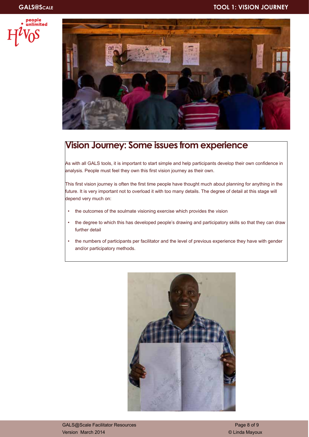



## **Vision Journey: Some issues from experience**

As with all GALS tools, it is important to start simple and help participants develop their own confidence in analysis. People must feel they own this first vision journey as their own.

This first vision journey is often the first time people have thought much about planning for anything in the future. It is very important not to overload it with too many details. The degree of detail at this stage will depend very much on:

- the outcomes of the soulmate visioning exercise which provides the vision
- the degree to which this has developed people's drawing and participatory skills so that they can draw further detail
- the numbers of participants per facilitator and the level of previous experience they have with gender and/or participatory methods.